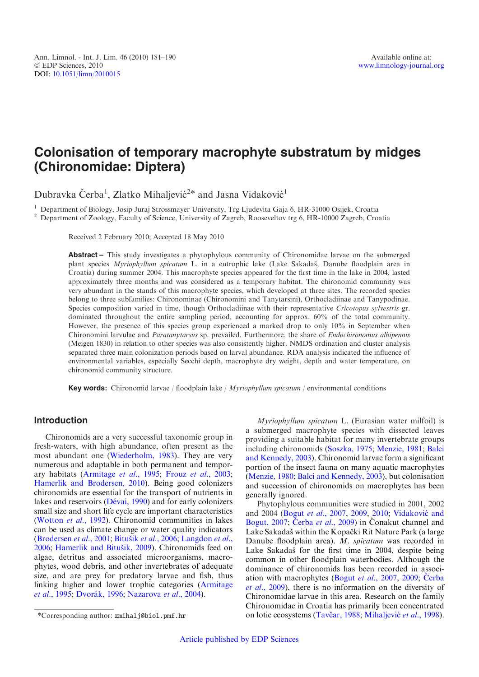# Colonisation of temporary macrophyte substratum by midges (Chironomidae: Diptera)

Dubravka Čerba<sup>1</sup>, Zlatko Mihaljević<sup>2\*</sup> and Jasna Vidaković<sup>1</sup>

<sup>1</sup> Department of Biology, Josip Juraj Strossmayer University, Trg Ljudevita Gaja 6, HR-31000 Osijek, Croatia <sup>2</sup> Department of Zoology, Faculty of Science, University of Zagreb, Rooseveltov trg 6, HR-10000 Zagreb, Croatia

Received 2 February 2010; Accepted 18 May 2010

Abstract – This study investigates a phytophylous community of Chironomidae larvae on the submerged plant species *Myriophyllum spicatum* L. in a eutrophic lake (Lake Sakadaš, Danube floodplain area in Croatia) during summer 2004. This macrophyte species appeared for the first time in the lake in 2004, lasted approximately three months and was considered as a temporary habitat. The chironomid community was very abundant in the stands of this macrophyte species, which developed at three sites. The recorded species belong to three subfamilies: Chironominae (Chironomini and Tanytarsini), Orthocladiinae and Tanypodinae. Species composition varied in time, though Orthocladiinae with their representative Cricotopus sylvestris gr. dominated throughout the entire sampling period, accounting for approx. 60% of the total community. However, the presence of this species group experienced a marked drop to only 10% in September when Chironomini larvulae and Paratanytarsus sp. prevailed. Furthermore, the share of Endochironomus albipennis (Meigen 1830) in relation to other species was also consistently higher. NMDS ordination and cluster analysis separated three main colonization periods based on larval abundance. RDA analysis indicated the influence of environmental variables, especially Secchi depth, macrophyte dry weight, depth and water temperature, on chironomid community structure.

**Key words:** Chironomid larvae / floodplain lake /  $Myriophyllum spicatum / environmental conditions$ 

# Introduction

Chironomids are a very successful taxonomic group in fresh-waters, with high abundance, often present as the most abundant one [\(Wiederholm, 1983\)](#page-9-0). They are very numerous and adaptable in both permanent and temporary habitats ([Armitage](#page-7-0) et al., 1995; Frouz et al.[, 2003;](#page-8-0) Hamerlik and Brodersen, 2010). Being good colonizers chironomids are essential for the transport of nutrients in lakes and reservoirs (Dévai, 1990) and for early colonizers small size and short life cycle are important characteristics ([Wotton](#page-9-0) et al., 1992). Chironomid communities in lakes can be used as climate change or water quality indicators ([Brodersen](#page-7-0) et al., 2001; Bitušik et al., 2006; [Langdon](#page-8-0) et al., [2006](#page-8-0); Hamerlik and Bitušik, 2009). Chironomids feed on algae, detritus and associated microorganisms, macrophytes, wood debris, and other invertebrates of adequate size, and are prey for predatory larvae and fish, thus linking higher and lower trophic categories [\(Armitage](#page-7-0) et al.[, 1995;](#page-7-0) Dvorák, 1996; [Nazarova](#page-8-0) et al., 2004).

Myriophyllum spicatum L. (Eurasian water milfoil) is a submerged macrophyte species with dissected leaves providing a suitable habitat for many invertebrate groups including chironomids [\(Soszka, 1975](#page-9-0); [Menzie, 1981](#page-8-0); [Balci](#page-7-0) [and Kennedy, 2003\)](#page-7-0). Chironomid larvae form a significant portion of the insect fauna on many aquatic macrophytes ([Menzie, 1980;](#page-8-0) [Balci and Kennedy, 2003\)](#page-7-0), but colonisation and succession of chironomids on macrophytes has been generally ignored.

Phytophylous communities were studied in 2001, 2002 and 2004 ([Bogut](#page-7-0) et al., 2007, [2009,](#page-7-0) [2010](#page-7-0); Vidaković and Bogut,  $2007$ ; Čerba *et al.*[, 2009](#page-8-0)) in Conakut channel and Lake Sakadaš within the Kopački Rit Nature Park (a large Danube floodplain area). M. spicatum was recorded in Lake Sakadaš for the first time in 2004, despite being common in other floodplain waterbodies. Although the dominance of chironomids has been recorded in associ-ation with macrophytes (Bogut et al.[, 2007,](#page-7-0) [2009](#page-7-0); Cerba et al.[, 2009](#page-8-0)), there is no information on the diversity of Chironomidae larvae in this area. Research on the family Chironomidae in Croatia has primarily been concentrated \*Corresponding author: zmihalj@biol.pmf.hr on lotic ecosystems (Tavčar, 1988; [Mihaljevic´](#page-8-0) et al., 1998).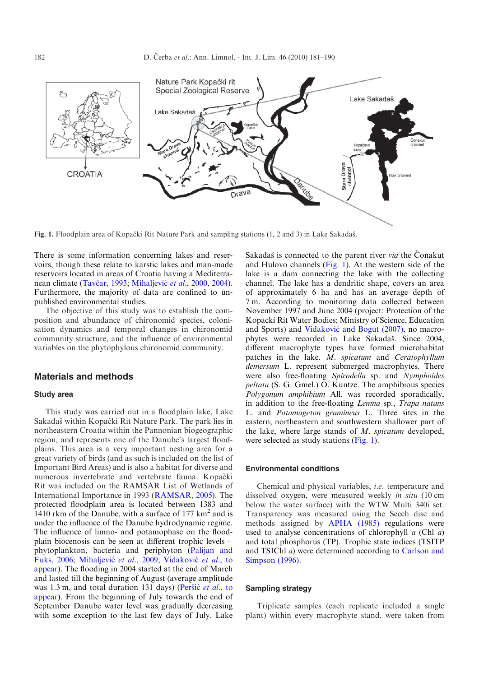

Fig. 1. Floodplain area of Kopački Rit Nature Park and sampling stations (1, 2 and 3) in Lake Sakadaš.

There is some information concerning lakes and reservoirs, though these relate to karstic lakes and man-made reservoirs located in areas of Croatia having a Mediterra-nean climate (Tavčar, 1993; Mihaljević et al., 2000, [2004](#page-8-0)). Furthermore, the majority of data are confined to unpublished environmental studies.

The objective of this study was to establish the composition and abundance of chironomid species, colonisation dynamics and temporal changes in chironomid community structure, and the influence of environmental variables on the phytophylous chironomid community.

## Materials and methods

#### Study area

This study was carried out in a floodplain lake, Lake Sakadaš within Kopački Rit Nature Park. The park lies in northeastern Croatia within the Pannonian biogeographic region, and represents one of the Danube's largest floodplains. This area is a very important nesting area for a great variety of birds (and as such is included on the list of Important Bird Areas) and is also a habitat for diverse and numerous invertebrate and vertebrate fauna. Kopački Rit was included on the RAMSAR List of Wetlands of International Importance in 1993 [\(RAMSAR, 2005\)](#page-9-0). The protected floodplain area is located between 1383 and 1410 rkm of the Danube, with a surface of  $177 \text{ km}^2$  and is under the influence of the Danube hydrodynamic regime. The influence of limno- and potamophase on the floodplain biocenosis can be seen at different trophic levels – phytoplankton, bacteria and periphyton ([Palijan and](#page-8-0) [Fuks, 2006;](#page-8-0) Mihaljević et al., 2009; Vidaković et al., to [appear](#page-7-0)). The flooding in 2004 started at the end of March and lasted till the beginning of August (average amplitude was 1.3 m, and total duration 131 days) (Peršić et al., to [appear](#page-8-0)). From the beginning of July towards the end of September Danube water level was gradually decreasing with some exception to the last few days of July. Lake

Sakadaš is connected to the parent river via the Conakut and Hulovo channels (Fig. 1). At the western side of the lake is a dam connecting the lake with the collecting channel. The lake has a dendritic shape, covers an area of approximately 6 ha and has an average depth of 7 m. According to monitoring data collected between November 1997 and June 2004 (project: Protection of the Kopacki Rit Water Bodies; Ministry of Science, Education and Sports) and Vidaković [and Bogut \(2007\),](#page-7-0) no macrophytes were recorded in Lake Sakadaš. Since 2004, different macrophyte types have formed microhabitat patches in the lake. M. spicatum and Ceratophyllum demersum L. represent submerged macrophytes. There were also free-floating Spirodella sp. and Nymphoides peltata (S. G. Gmel.) O. Kuntze. The amphibious species Polygonum amphibium All. was recorded sporadically, in addition to the free-floating Lemna sp., Trapa natans L. and Potamageton gramineus L. Three sites in the eastern, northeastern and southwestern shallower part of the lake, where large stands of  $M$ . spicatum developed, were selected as study stations (Fig. 1).

#### Environmental conditions

Chemical and physical variables, i.e. temperature and dissolved oxygen, were measured weekly in situ (10 cm below the water surface) with the WTW Multi 340i set. Transparency was measured using the Secch disc and methods assigned by [APHA \(1985\)](#page-7-0) regulations were used to analyse concentrations of chlorophyll  $a$  (Chl  $a$ ) and total phosphorus (TP). Trophic state indices (TSITP and TSIChl a) were determined according to [Carlson and](#page-7-0) [Simpson \(1996\)](#page-7-0).

## Sampling strategy

Triplicate samples (each replicate included a single plant) within every macrophyte stand, were taken from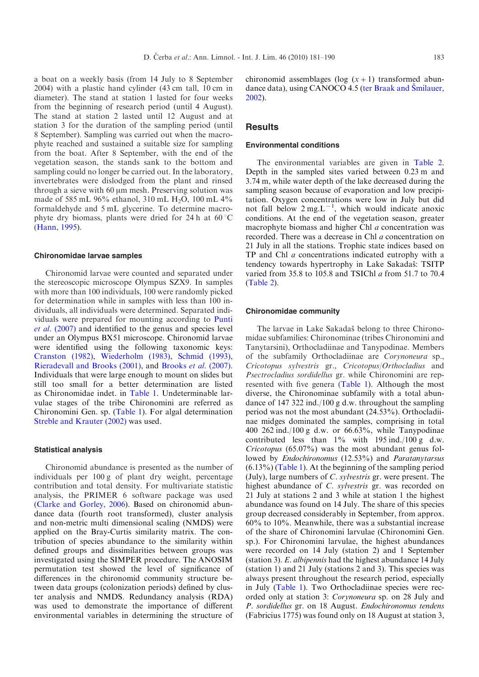a boat on a weekly basis (from 14 July to 8 September 2004) with a plastic hand cylinder (43 cm tall, 10 cm in diameter). The stand at station 1 lasted for four weeks from the beginning of research period (until 4 August). The stand at station 2 lasted until 12 August and at station 3 for the duration of the sampling period (until 8 September). Sampling was carried out when the macrophyte reached and sustained a suitable size for sampling from the boat. After 8 September, with the end of the vegetation season, the stands sank to the bottom and sampling could no longer be carried out. In the laboratory, invertebrates were dislodged from the plant and rinsed through a sieve with 60 µm mesh. Preserving solution was made of 585 mL 96% ethanol, 310 mL H<sub>2</sub>O, 100 mL 4% formaldehyde and 5 mL glycerine. To determine macrophyte dry biomass, plants were dried for 24 h at  $60^{\circ}$ C ([Hann, 1995](#page-8-0)).

#### Chironomidae larvae samples

Chironomid larvae were counted and separated under the stereoscopic microscope Olympus SZX9. In samples with more than 100 individuals, 100 were randomly picked for determination while in samples with less than 100 individuals, all individuals were determined. Separated individuals were prepared for mounting according to [Punti](#page-9-0) et al. [\(2007\)](#page-9-0) and identified to the genus and species level under an Olympus BX51 microscope. Chironomid larvae were identified using the following taxonomic keys: [Cranston \(1982\)](#page-8-0), [Wiederholm \(1983\),](#page-9-0) [Schmid \(1993\),](#page-9-0) [Rieradevall and Brooks \(2001\),](#page-9-0) and [Brooks](#page-7-0) et al. (2007). Individuals that were large enough to mount on slides but still too small for a better determination are listed as Chironomidae indet. in [Table 1.](#page-3-0) Undeterminable larvulae stages of the tribe Chironomini are referred as Chironomini Gen. sp. [\(Table 1](#page-3-0)). For algal determination [Streble and Krauter \(2002\)](#page-9-0) was used.

#### Statistical analysis

Chironomid abundance is presented as the number of individuals per 100 g of plant dry weight, percentage contribution and total density. For multivariate statistic analysis, the PRIMER 6 software package was used ([Clarke and Gorley, 2006](#page-8-0)). Based on chironomid abundance data (fourth root transformed), cluster analysis and non-metric multi dimensional scaling (NMDS) were applied on the Bray-Curtis similarity matrix. The contribution of species abundance to the similarity within defined groups and dissimilarities between groups was investigated using the SIMPER procedure. The ANOSIM permutation test showed the level of significance of differences in the chironomid community structure between data groups (colonization periods) defined by cluster analysis and NMDS. Redundancy analysis (RDA) was used to demonstrate the importance of different environmental variables in determining the structure of chironomid assemblages (log  $(x+1)$  transformed abundance data), using CANOCO 4.5 (ter Braak and Šmilauer, [2002](#page-9-0)).

### **Results**

#### Environmental conditions

The environmental variables are given in [Table 2.](#page-3-0) Depth in the sampled sites varied between 0.23 m and 3.74 m, while water depth of the lake decreased during the sampling season because of evaporation and low precipitation. Oxygen concentrations were low in July but did not fall below  $2 \text{ mg.L}^{-1}$ , which would indicate anoxic conditions. At the end of the vegetation season, greater macrophyte biomass and higher Chl a concentration was recorded. There was a decrease in Chl a concentration on 21 July in all the stations. Trophic state indices based on TP and Chl a concentrations indicated eutrophy with a tendency towards hypertrophy in Lake Sakadaš: TSITP varied from 35.8 to 105.8 and TSIChl a from 51.7 to 70.4 ([Table 2\)](#page-3-0).

#### Chironomidae community

The larvae in Lake Sakadaš belong to three Chironomidae subfamilies: Chironominae (tribes Chironomini and Tanytarsini), Orthocladiinae and Tanypodinae. Members of the subfamily Orthocladiinae are Corynoneura sp., Cricotopus sylvestris gr., Cricotopus/Orthocladius and Psectrocladius sordidellus gr. while Chironomini are represented with five genera [\(Table 1](#page-3-0)). Although the most diverse, the Chironominae subfamily with a total abundance of 147 322 ind./100 g d.w. throughout the sampling period was not the most abundant (24.53%). Orthocladiinae midges dominated the samples, comprising in total 400 262 ind./100 g d.w. or 66.63%, while Tanypodinae contributed less than  $1\%$  with 195 ind./100 g d.w. Cricotopus (65.07%) was the most abundant genus followed by *Endochironomus* (12.53%) and *Paratanytarsus*  $(6.13\%)$  [\(Table 1](#page-3-0)). At the beginning of the sampling period (July), large numbers of C. sylvestris gr. were present. The highest abundance of C. sylvestris gr. was recorded on 21 July at stations 2 and 3 while at station 1 the highest abundance was found on 14 July. The share of this species group decreased considerably in September, from approx. 60% to 10%. Meanwhile, there was a substantial increase of the share of Chironomini larvulae (Chironomini Gen. sp.). For Chironomini larvulae, the highest abundances were recorded on 14 July (station 2) and 1 September (station 3). E. albipennis had the highest abundance 14 July (station 1) and 21 July (stations 2 and 3). This species was always present throughout the research period, especially in July [\(Table 1](#page-3-0)). Two Orthocladiinae species were recorded only at station 3: Corynoneura sp. on 28 July and P. sordidellus gr. on 18 August. Endochironomus tendens (Fabricius 1775) was found only on 18 August at station 3,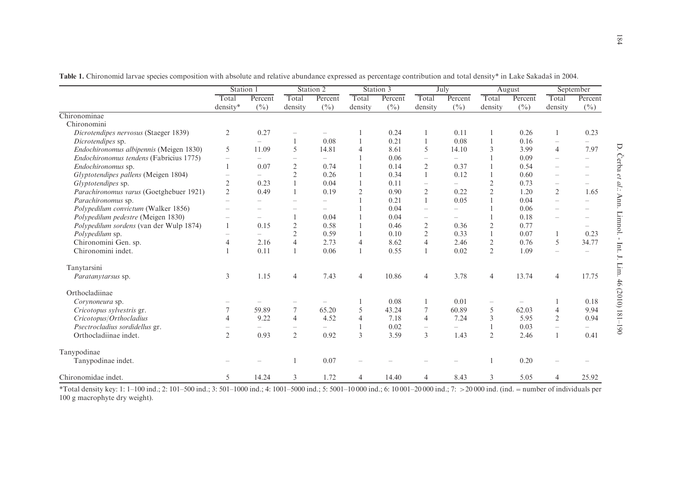|                                         | Station 1                |                          | Station 2                |                          | Station 3      |                 | July                     |                          | August         |                          | September                |         |
|-----------------------------------------|--------------------------|--------------------------|--------------------------|--------------------------|----------------|-----------------|--------------------------|--------------------------|----------------|--------------------------|--------------------------|---------|
|                                         | Total                    | Percent                  | Total                    | Percent                  | Total          | Percent         | Total                    | Percent                  | Total          | Percent                  | Total                    | Percent |
|                                         | density*                 | $(^{0}_{0})$             | density                  | $($ %)                   | density        | $(\frac{0}{0})$ | density                  | $(\frac{0}{0})$          | density        | $(\frac{0}{0})$          | density                  | $(\%)$  |
| Chironominae                            |                          |                          |                          |                          |                |                 |                          |                          |                |                          |                          |         |
| Chironomini                             |                          |                          |                          |                          |                |                 |                          |                          |                |                          |                          |         |
| Dicrotendipes nervosus (Staeger 1839)   | $\overline{2}$           | 0.27                     | $\overline{\phantom{0}}$ |                          |                | 0.24            |                          | 0.11                     |                | 0.26                     |                          | 0.23    |
| Dicrotendipes sp.                       |                          | $\overline{\phantom{0}}$ | $\mathbf{1}$             | 0.08                     |                | 0.21            |                          | 0.08                     |                | 0.16                     | $\overline{\phantom{0}}$ |         |
| Endochironomus albipennis (Meigen 1830) | 5                        | 11.09                    | 5                        | 14.81                    | $\overline{4}$ | 8.61            | 5                        | 14.10                    | 3              | 3.99                     | 4                        | 7.97    |
| Endochironomus tendens (Fabricius 1775) |                          |                          | $\overline{\phantom{a}}$ |                          |                | 0.06            | $\overline{\phantom{0}}$ |                          |                | 0.09                     |                          |         |
| Endochironomus sp.                      |                          | 0.07                     | $\sqrt{2}$               | 0.74                     |                | 0.14            | $\sqrt{2}$               | 0.37                     |                | 0.54                     | $\overline{\phantom{0}}$ |         |
| Glyptotendipes pallens (Meigen 1804)    | $\overline{\phantom{0}}$ |                          | $\sqrt{2}$               | 0.26                     |                | 0.34            | $\mathbf{1}$             | 0.12                     |                | 0.60                     | $\overline{\phantom{0}}$ |         |
| Glyptotendipes sp.                      | $\sqrt{2}$               | 0.23                     | 1                        | 0.04                     |                | 0.11            | $\qquad \qquad -$        |                          | $\overline{c}$ | 0.73                     | $\qquad \qquad -$        |         |
| Parachironomus varus (Goetghebuer 1921) | $\overline{2}$           | 0.49                     | 1                        | 0.19                     | $\overline{2}$ | 0.90            | $\overline{c}$           | 0.22                     | $\overline{2}$ | 1.20                     | $\overline{2}$           | 1.65    |
| Parachironomus sp.                      | $\overline{\phantom{a}}$ | $\overline{\phantom{a}}$ |                          |                          |                | 0.21            |                          | 0.05                     |                | 0.04                     |                          |         |
| Polypedilum convictum (Walker 1856)     |                          |                          |                          | $\overline{\phantom{0}}$ |                | 0.04            | $\overline{\phantom{0}}$ |                          |                | 0.06                     | $\overline{\phantom{0}}$ |         |
| Polypedilum pedestre (Meigen 1830)      | $\overline{\phantom{a}}$ |                          | 1                        | 0.04                     |                | 0.04            | $\overline{\phantom{0}}$ | $\overline{\phantom{a}}$ |                | 0.18                     | $\overline{\phantom{0}}$ |         |
| Polypedilum sordens (van der Wulp 1874) | 1                        | 0.15                     | $\overline{2}$           | 0.58                     |                | 0.46            | $\overline{c}$           | 0.36                     | $\overline{c}$ | 0.77                     |                          |         |
| Polypedilum sp.                         |                          | $\overline{\phantom{0}}$ | $\sqrt{2}$               | 0.59                     |                | 0.10            | $\overline{c}$           | 0.33                     |                | 0.07                     |                          | 0.23    |
| Chironomini Gen. sp.                    | 4                        | 2.16                     | $\overline{4}$           | 2.73                     | $\overline{4}$ | 8.62            | $\overline{4}$           | 2.46                     | $\overline{c}$ | 0.76                     | 5                        | 34.77   |
| Chironomini indet.                      |                          | 0.11                     | -1                       | 0.06                     |                | 0.55            |                          | 0.02                     | $\overline{2}$ | 1.09                     |                          |         |
| Tanytarsini                             |                          |                          |                          |                          |                |                 |                          |                          |                |                          |                          |         |
| Paratanytarsus sp.                      | 3                        | 1.15                     | $\overline{4}$           | 7.43                     | $\overline{4}$ | 10.86           | 4                        | 3.78                     | $\overline{4}$ | 13.74                    | 4                        | 17.75   |
| Orthocladiinae                          |                          |                          |                          |                          |                |                 |                          |                          |                |                          |                          |         |
| Corynoneura sp.                         |                          |                          |                          |                          |                | 0.08            |                          | 0.01                     | -              | $\overline{\phantom{0}}$ |                          | 0.18    |
| Cricotopus sylvestris gr.               | 7                        | 59.89                    | $\tau$                   | 65.20                    | 5              | 43.24           | 7                        | 60.89                    | 5              | 62.03                    | $\overline{4}$           | 9.94    |
| Cricotopus/Orthocladius                 | 4                        | 9.22                     | $\overline{4}$           | 4.52                     | $\overline{4}$ | 7.18            | $\overline{4}$           | 7.24                     | 3              | 5.95                     | $\overline{2}$           | 0.94    |
| Psectrocladius sordidellus gr.          |                          |                          | $\overline{\phantom{m}}$ |                          |                | 0.02            | $\qquad \qquad -$        |                          |                | 0.03                     | $\overline{\phantom{m}}$ |         |
| Orthocladiinae indet.                   | $\overline{2}$           | 0.93                     | $\overline{2}$           | 0.92                     | 3              | 3.59            | $\overline{3}$           | 1.43                     | $\overline{2}$ | 2.46                     | $\mathbf{1}$             | 0.41    |
| Tanypodinae                             |                          |                          |                          |                          |                |                 |                          |                          |                |                          |                          |         |
| Tanypodinae indet.                      |                          |                          |                          | 0.07                     |                |                 |                          |                          |                | 0.20                     |                          |         |
| Chironomidae indet.                     | 5.                       | 14.24                    | 3                        | 1.72                     | $\overline{4}$ | 14.40           | 4                        | 8.43                     | 3              | 5.05                     | 4                        | 25.92   |

<span id="page-3-0"></span>Table 1. Chironomid larvae species composition with absolute and relative abundance expressed as percentage contribution and total density\* in Lake Sakadaš in 2004.

\*Total density key: 1: 1–100 ind.; 2: 101–500 ind.; 3: 501–1000 ind.; 4: 1001–5000 ind.; 5: 5001–10 000 ind.; 6: 10 001–20 000 ind.; 7: > 20 000 ind. (ind. = number of individuals per 100 g macrophyte dry weight).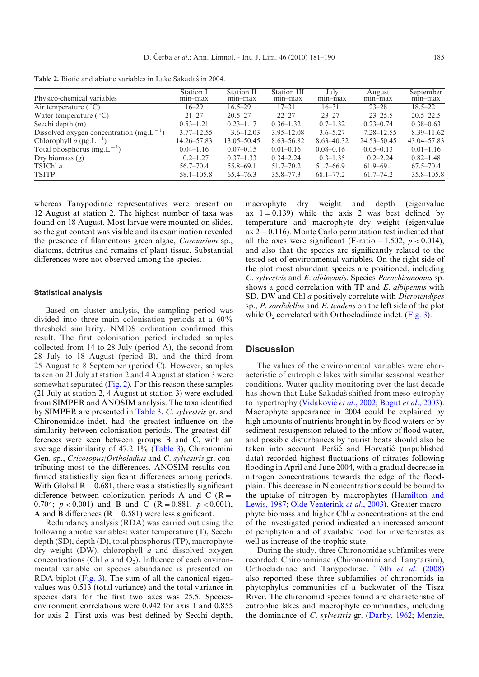Table 2. Biotic and abiotic variables in Lake Sakadaš in 2004.

|                                              | Station I      | Station II      | Station III    | July           | August          | September       |
|----------------------------------------------|----------------|-----------------|----------------|----------------|-----------------|-----------------|
| Physico-chemical variables                   | $m n$ -max     | $m n$ -max      | $mn$ -max      | min-max        | $m n$ -max      | $m n$ – $m a x$ |
| Air temperature $(^{\circ}C)$                | $16 - 29$      | $16.5 - 29$     | $17 - 31$      | $16 - 31$      | $23 - 28$       | $18.5 - 22$     |
| Water temperature $(^{\circ}C)$              | $21 - 27$      | $20.5 - 27$     | $22 - 27$      | $23 - 27$      | $23 - 25.5$     | $20.5 - 22.5$   |
| Secchi depth (m)                             | $0.53 - 1.21$  | $0.23 - 1.17$   | $0.36 - 1.32$  | $0.7 - 1.32$   | $0.23 - 0.74$   | $0.38 - 0.63$   |
| Dissolved oxygen concentration $(mg.L^{-1})$ | $3.77 - 12.55$ | $3.6 - 12.03$   | $3.95 - 12.08$ | $3.6 - 5.27$   | $7.28 - 12.55$  | $8.39 - 11.62$  |
| Chlorophyll a $(\mu g.L^{-1})$               | 14.26–57.83    | $13.05 - 50.45$ | $8.63 - 56.82$ | $8.63 - 40.32$ | $24.53 - 50.45$ | 43.04 - 57.83   |
| Total phosphorus $(mg.L^{-1})$               | $0.04 - 1.16$  | $0.07 - 0.15$   | $0.01 - 0.16$  | $0.08 - 0.16$  | $0.05 - 0.13$   | $0.01 - 1.16$   |
| Dry biomass $(g)$                            | $0.2 - 1.27$   | $0.37 - 1.33$   | $0.34 - 2.24$  | $0.3 - 1.35$   | $0.2 - 2.24$    | $0.82 - 1.48$   |
| TSIChl a                                     | $56.7 - 70.4$  | $55.8 - 69.1$   | $51.7 - 70.2$  | $51.7 - 66.9$  | $61.9 - 69.1$   | $67.5 - 70.4$   |
| <b>TSITP</b>                                 | $58.1 - 105.8$ | $65.4 - 76.3$   | $35.8 - 77.3$  | $68.1 - 77.2$  | $61.7 - 74.2$   | $35.8 - 105.8$  |

whereas Tanypodinae representatives were present on 12 August at station 2. The highest number of taxa was found on 18 August. Most larvae were mounted on slides, so the gut content was visible and its examination revealed the presence of filamentous green algae, Cosmarium sp., diatoms, detritus and remains of plant tissue. Substantial differences were not observed among the species.

#### Statistical analysis

Based on cluster analysis, the sampling period was divided into three main colonisation periods at a 60% threshold similarity. NMDS ordination confirmed this result. The first colonisation period included samples collected from 14 to 28 July (period A), the second from 28 July to 18 August (period B), and the third from 25 August to 8 September (period C). However, samples taken on 21 July at station 2 and 4 August at station 3 were somewhat separated [\(Fig. 2\)](#page-5-0). For this reason these samples (21 July at station 2, 4 August at station 3) were excluded from SIMPER and ANOSIM analysis. The taxa identified by SIMPER are presented in [Table 3.](#page-3-0) C. sylvestris gr. and Chironomidae indet. had the greatest influence on the similarity between colonisation periods. The greatest differences were seen between groups B and C, with an average dissimilarity of 47.2 1% ([Table 3\)](#page-3-0), Chironomini Gen. sp., Cricotopus/Ortholadius and C. sylvestris gr. contributing most to the differences. ANOSIM results confirmed statistically significant differences among periods. With Global  $R = 0.681$ , there was a statistically significant difference between colonization periods A and C ( $R=$ 0.704;  $p < 0.001$ ) and B and C (R = 0.881;  $p < 0.001$ ), A and B differences  $(R = 0.581)$  were less significant.

Redundancy analysis (RDA) was carried out using the following abiotic variables: water temperature (T), Secchi depth (SD), depth (D), total phosphorus (TP), macrophyte dry weight (DW), chlorophyll  $a$  and dissolved oxygen concentrations (Chl  $a$  and  $O_2$ ). Influence of each environmental variable on species abundance is presented on RDA biplot [\(Fig. 3\)](#page-6-0). The sum of all the canonical eigenvalues was 0.513 (total variance) and the total variance in species data for the first two axes was 25.5. Speciesenvironment correlations were 0.942 for axis 1 and 0.855 for axis 2. First axis was best defined by Secchi depth, macrophyte dry weight and depth (eigenvalue ax  $1 = 0.139$ ) while the axis 2 was best defined by temperature and macrophyte dry weight (eigenvalue  $ax 2 = 0.116$ . Monte Carlo permutation test indicated that all the axes were significant (F-ratio = 1.502,  $p < 0.014$ ), and also that the species are significantly related to the tested set of environmental variables. On the right side of the plot most abundant species are positioned, including C. sylvestris and E. albipennis. Species Parachironomus sp. shows a good correlation with TP and E. albipennis with SD. DW and Chl a positively correlate with Dicrotendipes sp., P. sordidellus and E. tendens on the left side of the plot while  $O_2$  correlated with Orthocladiinae indet. ([Fig. 3](#page-6-0)).

# **Discussion**

The values of the environmental variables were characteristic of eutrophic lakes with similar seasonal weather conditions. Water quality monitoring over the last decade has shown that Lake Sakadaš shifted from meso-eutrophy to hypertrophy (Vidaković *et al.*, 2002; [Bogut](#page-7-0) *et al.*, 2003). Macrophyte appearance in 2004 could be explained by high amounts of nutrients brought in by flood waters or by sediment resuspension related to the inflow of flood water, and possible disturbances by tourist boats should also be taken into account. Peršić and Horvatić (unpublished data) recorded highest fluctuations of nitrates following flooding in April and June 2004, with a gradual decrease in nitrogen concentrations towards the edge of the floodplain. This decrease in N concentrations could be bound to the uptake of nitrogen by macrophytes ([Hamilton and](#page-8-0) [Lewis, 1987;](#page-8-0) [Olde Venterink](#page-8-0) et al., 2003). Greater macrophyte biomass and higher Chl a concentrations at the end of the investigated period indicated an increased amount of periphyton and of available food for invertebrates as well as increase of the trophic state.

During the study, three Chironomidae subfamilies were recorded: Chironominae (Chironomini and Tanytarsini), Orthocladiinae and Tanypodinae. Tóth et al. [\(2008\)](#page-9-0) also reported these three subfamilies of chironomids in phytophylus communities of a backwater of the Tisza River. The chironomid species found are characteristic of eutrophic lakes and macrophyte communities, including the dominance of C. sylvestris gr. ([Darby, 1962](#page-8-0); [Menzie,](#page-8-0)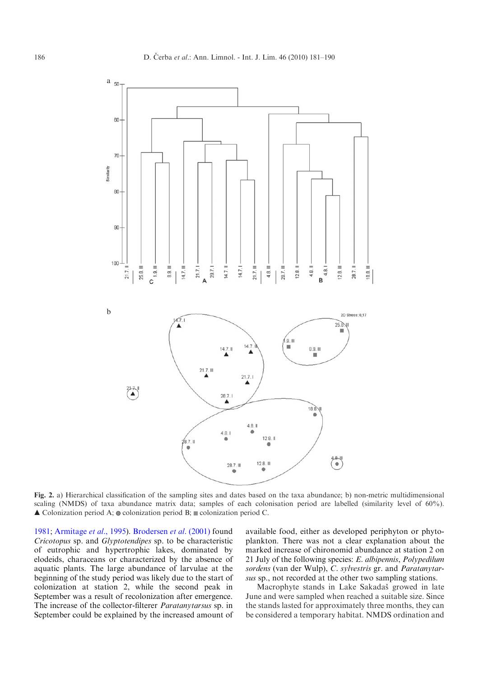<span id="page-5-0"></span>

Fig. 2. a) Hierarchical classification of the sampling sites and dates based on the taxa abundance; b) non-metric multidimensional scaling (NMDS) of taxa abundance matrix data; samples of each colonisation period are labelled (similarity level of 60%). **△** Colonization period A; ⊙ colonization period B; ■ colonization period C.

[1981](#page-8-0); [Armitage](#page-7-0) et al., 1995). [Brodersen](#page-7-0) et al. (2001) found Cricotopus sp. and Glyptotendipes sp. to be characteristic of eutrophic and hypertrophic lakes, dominated by elodeids, characeans or characterized by the absence of aquatic plants. The large abundance of larvulae at the beginning of the study period was likely due to the start of colonization at station 2, while the second peak in September was a result of recolonization after emergence. The increase of the collector-filterer Paratanytarsus sp. in September could be explained by the increased amount of

available food, either as developed periphyton or phytoplankton. There was not a clear explanation about the marked increase of chironomid abundance at station 2 on 21 July of the following species: E. albipennis, Polypedilum sordens (van der Wulp), C. sylvestris gr. and Paratanytarsus sp., not recorded at the other two sampling stations.

Macrophyte stands in Lake Sakadaš growed in late June and were sampled when reached a suitable size. Since the stands lasted for approximately three months, they can be considered a temporary habitat. NMDS ordination and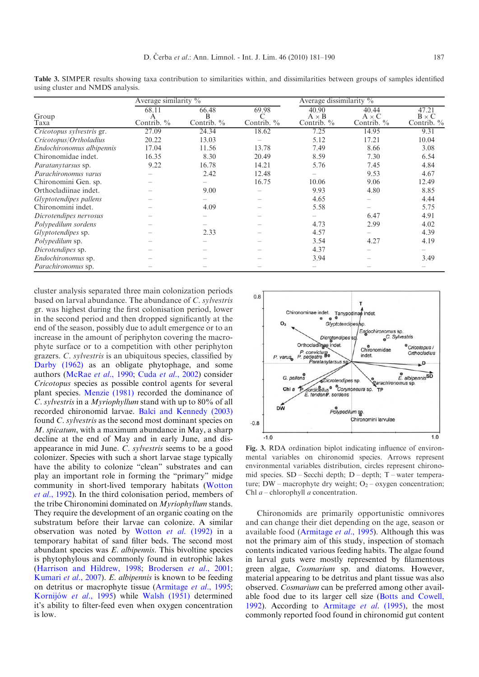|                           | Average similarity % |                          |                     | Average dissimilarity %             |                                     |                                     |  |
|---------------------------|----------------------|--------------------------|---------------------|-------------------------------------|-------------------------------------|-------------------------------------|--|
| Group<br>Taxa             | 68.11<br>Contrib. %  | 66.48<br>B<br>Contrib. % | 69.98<br>Contrib. % | 40.90<br>$A \times B$<br>Contrib. % | 40.44<br>$A \times C$<br>Contrib. % | 47.21<br>$B \times C$<br>Contrib. % |  |
| Cricotopus sylvestris gr. | 27.09                | 24.34                    | 18.62               | 7.25                                | 14.95                               | 9.31                                |  |
| Cricotopus/Ortholadius    | 20.22                | 13.03                    |                     | 5.12                                | 17.21                               | 10.04                               |  |
| Endochironomus albipennis | 17.04                | 11.56                    | 13.78               | 7.49                                | 8.66                                | 3.08                                |  |
| Chironomidae indet.       | 16.35                | 8.30                     | 20.49               | 8.59                                | 7.30                                | 6.54                                |  |
| Paratanytarsus sp.        | 9.22                 | 16.78                    | 14.21               | 5.76                                | 7.45                                | 4.84                                |  |
| Parachironomus varus      |                      | 2.42                     | 12.48               |                                     | 9.53                                | 4.67                                |  |
| Chironomini Gen. sp.      |                      |                          | 16.75               | 10.06                               | 9.06                                | 12.49                               |  |
| Orthocladiinae indet.     |                      | 9.00                     |                     | 9.93                                | 4.80                                | 8.85                                |  |
| Glyptotendipes pallens    |                      |                          |                     | 4.65                                |                                     | 4.44                                |  |
| Chironomini indet.        |                      | 4.09                     |                     | 5.58                                |                                     | 5.75                                |  |
| Dicrotendipes nervosus    |                      |                          |                     |                                     | 6.47                                | 4.91                                |  |
| Polypedilum sordens       |                      |                          |                     | 4.73                                | 2.99                                | 4.02                                |  |
| Glyptotendipes sp.        |                      | 2.33                     |                     | 4.57                                |                                     | 4.39                                |  |
| Polypedilum sp.           |                      |                          |                     | 3.54                                | 4.27                                | 4.19                                |  |
| Dicrotendipes sp.         |                      |                          |                     | 4.37                                |                                     |                                     |  |
| Endochironomus sp.        |                      |                          |                     | 3.94                                |                                     | 3.49                                |  |
| Parachironomus sp.        |                      |                          |                     |                                     |                                     |                                     |  |

<span id="page-6-0"></span>Table 3. SIMPER results showing taxa contribution to similarities within, and dissimilarities between groups of samples identified using cluster and NMDS analysis.

cluster analysis separated three main colonization periods based on larval abundance. The abundance of C. sylvestris gr. was highest during the first colonisation period, lower in the second period and then dropped significantly at the end of the season, possibly due to adult emergence or to an increase in the amount of periphyton covering the macrophyte surface or to a competition with other periphyton grazers. C. sylvestris is an ubiquitous species, classified by [Darby \(1962\)](#page-8-0) as an obligate phytophage, and some authors ([McRae](#page-8-0) et al., 1990; Cuda et al.[, 2002\)](#page-8-0) consider Cricotopus species as possible control agents for several plant species. [Menzie \(1981\)](#page-8-0) recorded the dominance of C. sylvestris in a Myriophyllum stand with up to 80% of all recorded chironomid larvae. [Balci and Kennedy \(2003\)](#page-7-0) found C. sylvestris as the second most dominant species on M. spicatum, with a maximum abundance in May, a sharp decline at the end of May and in early June, and disappearance in mid June. C. sylvestris seems to be a good colonizer. Species with such a short larvae stage typically have the ability to colonize "clean" substrates and can play an important role in forming the "primary" midge community in short-lived temporary habitats [\(Wotton](#page-9-0) et al.[, 1992\)](#page-9-0). In the third colonisation period, members of the tribe Chironomini dominated on Myriophyllum stands. They require the development of an organic coating on the substratum before their larvae can colonize. A similar observation was noted by [Wotton](#page-9-0) et al. (1992) in a temporary habitat of sand filter beds. The second most abundant species was E. albipennis. This bivoltine species is phytophylous and commonly found in eutrophic lakes ([Harrison and Hildrew, 1998](#page-8-0); [Brodersen](#page-7-0) et al., 2001; [Kumari](#page-8-0) et al., 2007). E. albipennis is known to be feeding on detritus or macrophyte tissue ([Armitage](#page-7-0) et al., 1995; Kornijów et al., 1995) while [Walsh \(1951\)](#page-9-0) determined it's ability to filter-feed even when oxygen concentration is low.



Fig. 3. RDA ordination biplot indicating influence of environmental variables on chironomid species. Arrows represent environmental variables distribution, circles represent chironomid species. SD – Secchi depth; D – depth; T – water temperature; DW – macrophyte dry weight;  $O_2$  – oxygen concentration; Chl  $a$  – chlorophyll  $a$  concentration.

Chironomids are primarily opportunistic omnivores and can change their diet depending on the age, season or available food ([Armitage](#page-7-0) *et al.*, 1995). Although this was not the primary aim of this study, inspection of stomach contents indicated various feeding habits. The algae found in larval guts were mostly represented by filamentous green algae, Cosmarium sp. and diatoms. However, material appearing to be detritus and plant tissue was also observed. Cosmarium can be preferred among other available food due to its larger cell size [\(Botts and Cowell,](#page-7-0) [1992](#page-7-0)). According to [Armitage](#page-7-0) et al. (1995), the most commonly reported food found in chironomid gut content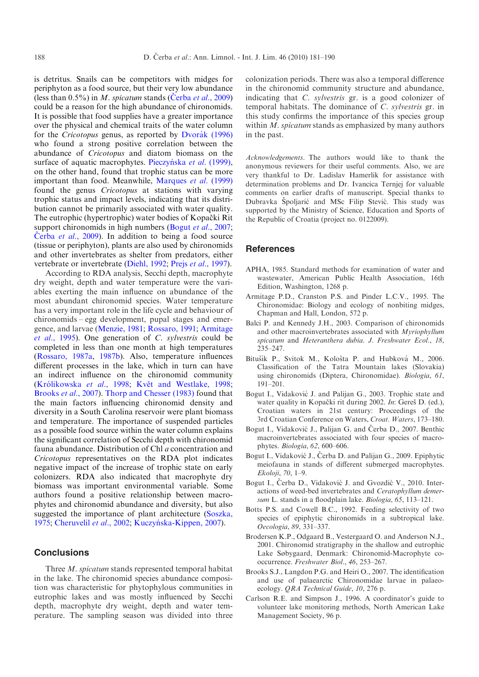<span id="page-7-0"></span>is detritus. Snails can be competitors with midges for periphyton as a food source, but their very low abundance (less than  $0.5\%$ ) in M. spicatum stands (Cerba et al., 2009) could be a reason for the high abundance of chironomids. It is possible that food supplies have a greater importance over the physical and chemical traits of the water column for the Cricotopus genus, as reported by Dvorak (1996) who found a strong positive correlation between the abundance of Cricotopus and diatom biomass on the surface of aquatic macrophytes. Pieczyńska et al. (1999), on the other hand, found that trophic status can be more important than food. Meanwhile, [Marques](#page-8-0) et al. (1999) found the genus Cricotopus at stations with varying trophic status and impact levels, indicating that its distribution cannot be primarily associated with water quality. The eutrophic (hypertrophic) water bodies of Kopački Rit support chironomids in high numbers (Bogut et al., 2007; Cerba et al.[, 2009](#page-8-0)). In addition to being a food source (tissue or periphyton), plants are also used by chironomids and other invertebrates as shelter from predators, either vertebrate or invertebrate [\(Diehl, 1992](#page-8-0); Prejs et al.[, 1997](#page-9-0)).

According to RDA analysis, Secchi depth, macrophyte dry weight, depth and water temperature were the variables exerting the main influence on abundance of the most abundant chironomid species. Water temperature has a very important role in the life cycle and behaviour of chironomids – egg development, pupal stages and emergence, and larvae [\(Menzie, 1981;](#page-8-0) [Rossaro, 1991](#page-9-0); Armitage et al., 1995). One generation of C. sylvestris could be completed in less than one month at high temperatures ([Rossaro, 1987a,](#page-9-0) [1987b\)](#page-9-0). Also, temperature influences different processes in the lake, which in turn can have an indirect influence on the chironomid community (Królikowska et al., 1998; Květ and Westlake, 1998; Brooks et al., 2007). [Thorp and Chesser \(1983\)](#page-9-0) found that the main factors influencing chironomid density and diversity in a South Carolina reservoir were plant biomass and temperature. The importance of suspended particles as a possible food source within the water column explains the significant correlation of Secchi depth with chironomid fauna abundance. Distribution of Chl a concentration and Cricotopus representatives on the RDA plot indicates negative impact of the increase of trophic state on early colonizers. RDA also indicated that macrophyte dry biomass was important environmental variable. Some authors found a positive relationship between macrophytes and chironomid abundance and diversity, but also suggested the importance of plant architecture [\(Soszka,](#page-9-0) [1975](#page-9-0); [Cheruvelil](#page-8-0) et al., 2002; Kuczyńska-Kippen, 2007).

# **Conclusions**

Three M. spicatum stands represented temporal habitat in the lake. The chironomid species abundance composition was characteristic for phytophylous communities in eutrophic lakes and was mostly influenced by Secchi depth, macrophyte dry weight, depth and water temperature. The sampling season was divided into three

colonization periods. There was also a temporal difference in the chironomid community structure and abundance, indicating that C. sylvestris gr. is a good colonizer of temporal habitats. The dominance of C. sylvestris gr. in this study confirms the importance of this species group within  $M.$  spicatum stands as emphasized by many authors in the past.

Acknowledgements. The authors would like to thank the anonymous reviewers for their useful comments. Also, we are very thankful to Dr. Ladislav Hamerlik for assistance with determination problems and Dr. Ivancica Ternjej for valuable comments on earlier drafts of manuscript. Special thanks to Dubravka Špoljarić and MSc Filip Stević. This study was supported by the Ministry of Science, Education and Sports of the Republic of Croatia (project no. 0122009).

## **References**

- APHA, 1985. Standard methods for examination of water and wastewater, American Public Health Association, 16th Edition, Washington, 1268 p.
- Armitage P.D., Cranston P.S. and Pinder L.C.V., 1995. The Chironomidae: Biology and ecology of nonbiting midges, Chapman and Hall, London, 572 p.
- Balci P. and Kennedy J.H., 2003. Comparison of chironomids and other macroinvertebrates associated with Myriophyllum spicatum and Heteranthera dubia. J. Freshwater Ecol., 18, 235–247.
- Bitušík P., Svitok M., Kološta P. and Hubková M., 2006. Classification of the Tatra Mountain lakes (Slovakia) using chironomids (Diptera, Chironomidae). Biologia, 61, 191–201.
- Bogut I., Vidaković J. and Palijan G., 2003. Trophic state and water quality in Kopački rit during 2002. In: Gereš D. (ed.), Croatian waters in 21st century: Proceedings of the 3rd Croatian Conference on Waters, Croat. Waters, 173–180.
- Bogut I., Vidaković J., Palijan G. and Čerba D., 2007. Benthic macroinvertebrates associated with four species of macrophytes. Biologia, 62, 600–606.
- Bogut I., Vidaković J., Čerba D. and Palijan G., 2009. Epiphytic meiofauna in stands of different submerged macrophytes. Ekoloji, 70, 1–9.
- Bogut I., Čerba D., Vidaković J. and Gvozdić V., 2010. Interactions of weed-bed invertebrates and Ceratophyllum demersum L. stands in a floodplain lake. Biologia, 65, 113–121.
- Botts P.S. and Cowell B.C., 1992. Feeding selectivity of two species of epiphytic chironomids in a subtropical lake. Oecologia, 89, 331–337.
- Brodersen K.P., Odgaard B., Vestergaard O. and Anderson N.J., 2001. Chironomid stratigraphy in the shallow and eutrophic Lake Søbygaard, Denmark: Chironomid-Macrophyte cooccurrence. Freshwater Biol., 46, 253–267.
- Brooks S.J., Langdon P.G. and Heiri O., 2007. The identification and use of palaearctic Chironomidae larvae in palaeoecology. QRA Technical Guide, 10, 276 p.
- Carlson R.E. and Simpson J., 1996. A coordinator's guide to volunteer lake monitoring methods, North American Lake Management Society, 96 p.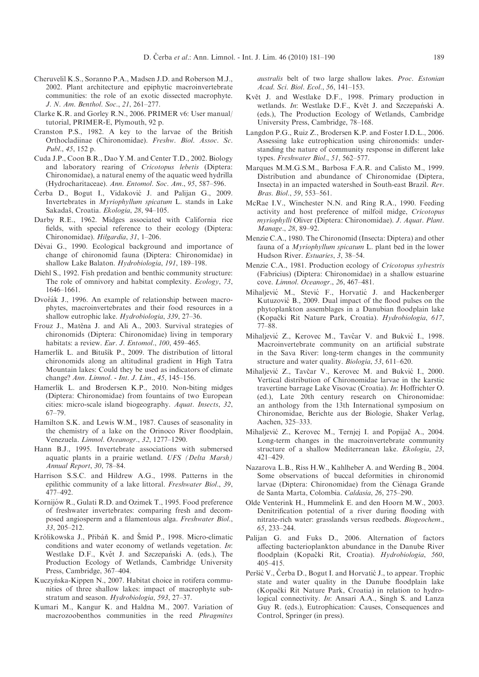- <span id="page-8-0"></span>Cheruvelil K.S., Soranno P.A., Madsen J.D. and Roberson M.J., 2002. Plant architecture and epiphytic macroinvertebrate communities: the role of an exotic dissected macrophyte. J. N. Am. Benthol. Soc., 21, 261–277.
- Clarke K.R. and Gorley R.N., 2006. PRIMER v6: User manual/ tutorial, PRIMER-E, Plymouth, 92 p.
- Cranston P.S., 1982. A key to the larvae of the British Orthocladiinae (Chironomidae). Freshw. Biol. Assoc. Sc. Publ., 45, 152 p.
- Cuda J.P., Coon B.R., Dao Y.M. and Center T.D., 2002. Biology and laboratory rearing of Cricotopus lebetis (Diptera: Chironomidae), a natural enemy of the aquatic weed hydrilla (Hydrocharitaceae). Ann. Entomol. Soc. Am., 95, 587–596.
- Čerba D., Bogut I., Vidaković J. and Palijan G., 2009. Invertebrates in Myriophyllum spicatum L. stands in Lake Sakadaš, Croatia. Ekologia, 28, 94-105.
- Darby R.E., 1962. Midges associated with California rice fields, with special reference to their ecology (Diptera: Chironomidae). Hilgardia, 31, 1–206.
- Dévai G., 1990. Ecological background and importance of change of chironomid fauna (Diptera: Chironomidae) in shallow Lake Balaton. Hydrobiologia, 191, 189-198.
- Diehl S., 1992. Fish predation and benthic community structure: The role of omnivory and habitat complexity. *Ecology*, 73, 1646–1661.
- Dvořák J., 1996. An example of relationship between macrophytes, macroinvertebrates and their food resources in a shallow eutrophic lake. Hydrobiologia, 339, 27–36.
- Frouz J., Matěna J. and Ali A., 2003. Survival strategies of chironomids (Diptera: Chironomidae) living in temporary habitats: a review. Eur. J. Entomol., 100, 459-465.
- Hamerlík L. and Bitušík P., 2009. The distribution of littoral chironomids along an altitudinal gradient in High Tatra Mountain lakes: Could they be used as indicators of climate change? Ann. Limnol. - Int. J. Lim., 45, 145–156.
- Hamerlík L. and Brodersen K.P., 2010. Non-biting midges (Diptera: Chironomidae) from fountains of two European cities: micro-scale island biogeography. Aquat. Insects, 32, 67–79.
- Hamilton S.K. and Lewis W.M., 1987. Causes of seasonality in the chemistry of a lake on the Orinoco River floodplain, Venezuela. Limnol. Oceanogr., 32, 1277–1290.
- Hann B.J., 1995. Invertebrate associations with submersed aquatic plants in a prairie wetland. UFS (Delta Marsh) Annual Report, 30, 78–84.
- Harrison S.S.C. and Hildrew A.G., 1998. Patterns in the epilithic community of a lake littoral. Freshwater Biol., 39, 477–492.
- Kornijów R., Gulati R.D. and Ozimek T., 1995. Food preference of freshwater invertebrates: comparing fresh and decomposed angiosperm and a filamentous alga. Freshwater Biol., 33, 205–212.
- Królikowska J., Přibáň K. and Šmíd P., 1998. Micro-climatic conditions and water economy of wetlands vegetation. In: Westlake D.F., Květ J. and Szczepański A. (eds.), The Production Ecology of Wetlands, Cambridge University Press, Cambridge, 367–404.
- Kuczyńska-Kippen N., 2007. Habitat choice in rotifera communities of three shallow lakes: impact of macrophyte substratum and season. Hydrobiologia, 593, 27–37.
- Kumari M., Kangur K. and Haldna M., 2007. Variation of macrozoobenthos communities in the reed Phragmites

australis belt of two large shallow lakes. Proc. Estonian Acad. Sci. Biol. Ecol., 56, 141–153.

- Květ J. and Westlake D.F., 1998. Primary production in wetlands. In: Westlake D.F., Květ J. and Szczepański A. (eds.), The Production Ecology of Wetlands, Cambridge University Press, Cambridge, 78–168.
- Langdon P.G., Ruiz Z., Brodersen K.P. and Foster I.D.L., 2006. Assessing lake eutrophication using chironomids: understanding the nature of community response in different lake types. Freshwater Biol., 51, 562–577.
- Marques M.M.G.S.M., Barbosa F.A.R. and Calisto M., 1999. Distribution and abundance of Chironomidae (Diptera, Insecta) in an impacted watershed in South-east Brazil. Rev. Bras. Biol., 59, 553–561.
- McRae I.V., Winchester N.N. and Ring R.A., 1990. Feeding activity and host preference of milfoil midge, Cricotopus myriophylli Oliver (Diptera: Chironomidae). J. Aquat. Plant. Manage., 28, 89–92.
- Menzie C.A., 1980. The Chironomid (Insecta: Diptera) and other fauna of a Myriophyllum spicatum L. plant bed in the lower Hudson River. Estuaries, 3, 38–54.
- Menzie C.A., 1981. Production ecology of Cricotopus sylvestris (Fabricius) (Diptera: Chironomidae) in a shallow estuarine cove. Limnol. Oceanogr., 26, 467–481.
- Mihaljević M., Stević F., Horvatić J. and Hackenberger Kutuzović B., 2009. Dual impact of the flood pulses on the phytoplankton assemblages in a Danubian floodplain lake (Kopački Rit Nature Park, Croatia). Hydrobiologia, 617, 77–88.
- Mihaljević Z., Kerovec M., Tavčar V. and Bukvić I., 1998. Macroinvertebrate community on an artificial substrate in the Sava River: long-term changes in the community structure and water quality. Biologia, 53, 611–620.
- Mihaljević Z., Tavčar V., Kerovec M. and Bukvić I., 2000. Vertical distribution of Chironomidae larvae in the karstic travertine barrage Lake Visovac (Croatia). In: Hoffrichter O. (ed.), Late 20th century research on Chironomidae: an anthology from the 13th International symposium on Chironomidae, Berichte aus der Biologie, Shaker Verlag, Aachen, 325–333.
- Mihaljević Z., Kerovec M., Ternjej I. and Popijač A., 2004. Long-term changes in the macroinvertebrate community structure of a shallow Mediterranean lake. Ekologia, 23, 421–429.
- Nazarova L.B., Riss H.W., Kahlheber A. and Werding B., 2004. Some observations of buccal deformities in chironomid larvae (Diptera: Chironomidae) from the Ciénaga Grande de Santa Marta, Colombia. Caldasia, 26, 275–290.
- Olde Venterink H., Hummelink E. and den Hoorn M.W., 2003. Denitrification potential of a river during flooding with nitrate-rich water: grasslands versus reedbeds. Biogeochem., 65, 233–244.
- Palijan G. and Fuks D., 2006. Alternation of factors affecting bacterioplankton abundance in the Danube River floodplain (Kopački Rit, Croatia). Hydrobiologia, 560, 405–415.
- Peršić V., Čerba D., Bogut I. and Horvatić J., to appear. Trophic state and water quality in the Danube floodplain lake (Kopački Rit Nature Park, Croatia) in relation to hydrological connectivity. In: Ansari A.A., Singh S. and Lanza Guy R. (eds.), Eutrophication: Causes, Consequences and Control, Springer (in press).